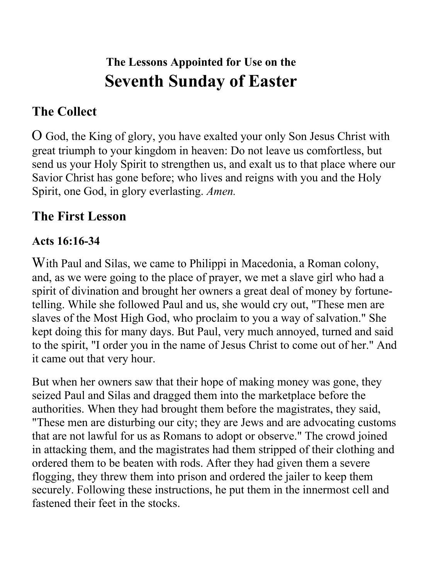# **The Lessons Appointed for Use on the Seventh Sunday of Easter**

## **The Collect**

O God, the King of glory, you have exalted your only Son Jesus Christ with great triumph to your kingdom in heaven: Do not leave us comfortless, but send us your Holy Spirit to strengthen us, and exalt us to that place where our Savior Christ has gone before; who lives and reigns with you and the Holy Spirit, one God, in glory everlasting. *Amen.*

## **The First Lesson**

#### **Acts 16:16-34**

With Paul and Silas, we came to Philippi in Macedonia, a Roman colony, and, as we were going to the place of prayer, we met a slave girl who had a spirit of divination and brought her owners a great deal of money by fortunetelling. While she followed Paul and us, she would cry out, "These men are slaves of the Most High God, who proclaim to you a way of salvation." She kept doing this for many days. But Paul, very much annoyed, turned and said to the spirit, "I order you in the name of Jesus Christ to come out of her." And it came out that very hour.

But when her owners saw that their hope of making money was gone, they seized Paul and Silas and dragged them into the marketplace before the authorities. When they had brought them before the magistrates, they said, "These men are disturbing our city; they are Jews and are advocating customs that are not lawful for us as Romans to adopt or observe." The crowd joined in attacking them, and the magistrates had them stripped of their clothing and ordered them to be beaten with rods. After they had given them a severe flogging, they threw them into prison and ordered the jailer to keep them securely. Following these instructions, he put them in the innermost cell and fastened their feet in the stocks.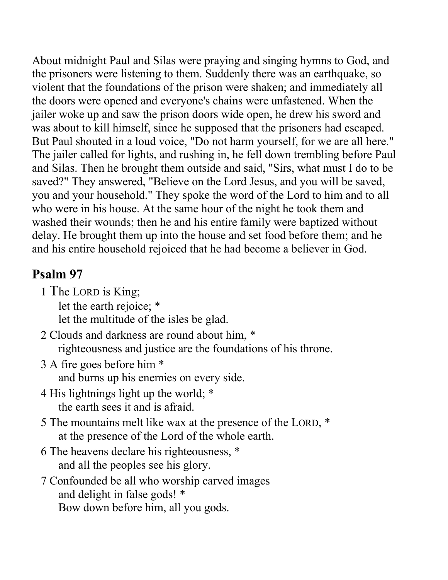About midnight Paul and Silas were praying and singing hymns to God, and the prisoners were listening to them. Suddenly there was an earthquake, so violent that the foundations of the prison were shaken; and immediately all the doors were opened and everyone's chains were unfastened. When the jailer woke up and saw the prison doors wide open, he drew his sword and was about to kill himself, since he supposed that the prisoners had escaped. But Paul shouted in a loud voice, "Do not harm yourself, for we are all here." The jailer called for lights, and rushing in, he fell down trembling before Paul and Silas. Then he brought them outside and said, "Sirs, what must I do to be saved?" They answered, "Believe on the Lord Jesus, and you will be saved, you and your household." They spoke the word of the Lord to him and to all who were in his house. At the same hour of the night he took them and washed their wounds; then he and his entire family were baptized without delay. He brought them up into the house and set food before them; and he and his entire household rejoiced that he had become a believer in God.

#### **Psalm 97**

1 The LORD is King;

let the earth rejoice; \*

let the multitude of the isles be glad.

- 2 Clouds and darkness are round about him, \* righteousness and justice are the foundations of his throne.
- 3 A fire goes before him \* and burns up his enemies on every side.
- 4 His lightnings light up the world; \* the earth sees it and is afraid.
- 5 The mountains melt like wax at the presence of the LORD, \* at the presence of the Lord of the whole earth.
- 6 The heavens declare his righteousness, \* and all the peoples see his glory.
- 7 Confounded be all who worship carved images and delight in false gods! \* Bow down before him, all you gods.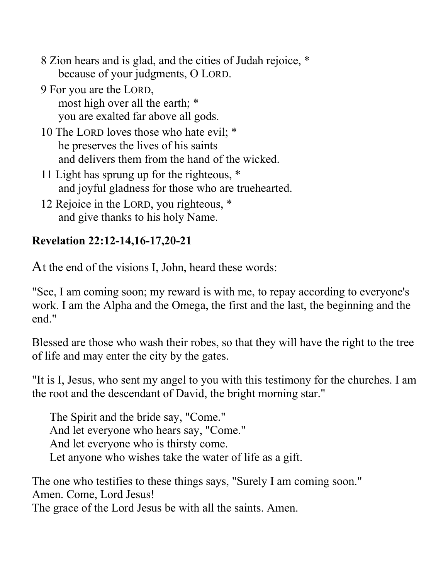- 8 Zion hears and is glad, and the cities of Judah rejoice, \* because of your judgments, O LORD.
- 9 For you are the LORD, most high over all the earth; \* you are exalted far above all gods.
- 10 The LORD loves those who hate evil; \* he preserves the lives of his saints and delivers them from the hand of the wicked.
- 11 Light has sprung up for the righteous, \* and joyful gladness for those who are truehearted.
- 12 Rejoice in the LORD, you righteous, \* and give thanks to his holy Name.

### **Revelation 22:12-14,16-17,20-21**

At the end of the visions I, John, heard these words:

"See, I am coming soon; my reward is with me, to repay according to everyone's work. I am the Alpha and the Omega, the first and the last, the beginning and the end."

Blessed are those who wash their robes, so that they will have the right to the tree of life and may enter the city by the gates.

"It is I, Jesus, who sent my angel to you with this testimony for the churches. I am the root and the descendant of David, the bright morning star."

The Spirit and the bride say, "Come." And let everyone who hears say, "Come." And let everyone who is thirsty come. Let anyone who wishes take the water of life as a gift.

The one who testifies to these things says, "Surely I am coming soon." Amen. Come, Lord Jesus!

The grace of the Lord Jesus be with all the saints. Amen.